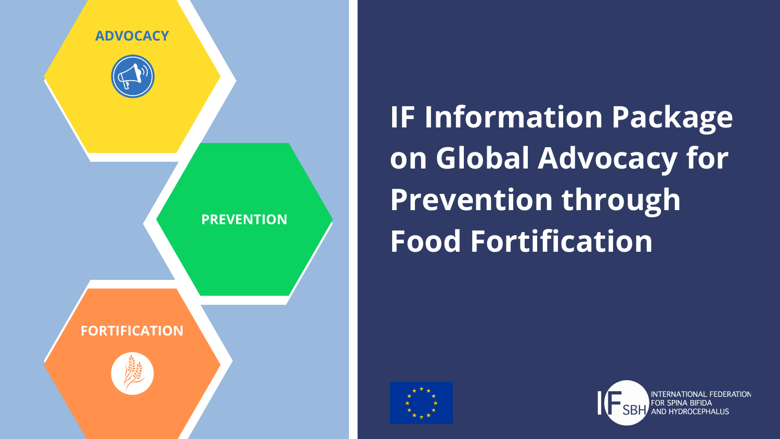**IF Information Package on Global Advocacy for Prevention through Food Fortification**





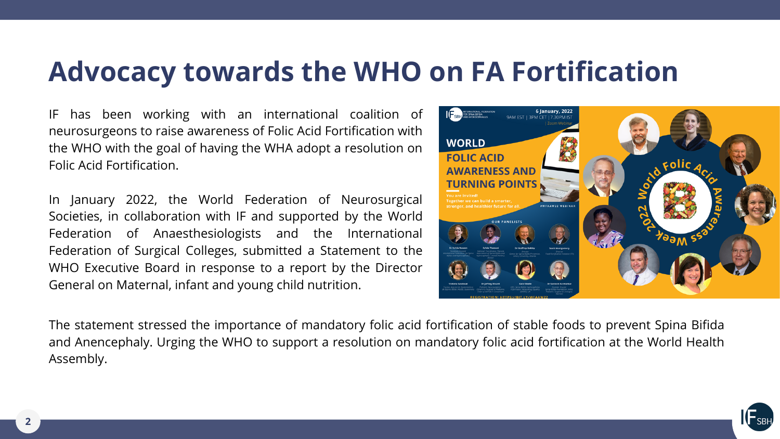

IF has been working with an international coalition of neurosurgeons to raise awareness of Folic Acid Fortification with the WHO with the goal of having the WHA adopt a resolution on Folic Acid Fortification.

In January 2022, the World Federation of Neurosurgical Societies, in collaboration with IF and supported by the World Federation of Anaesthesiologists and the International Federation of Surgical Colleges, submitted a Statement to the WHO Executive Board in response to a report by the Director General on Maternal, infant and young child nutrition.

# **Advocacy towards the WHO on FA Fortification**





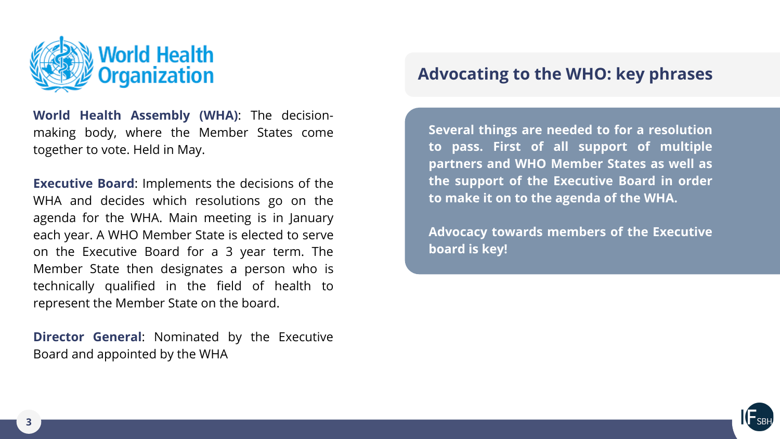

**Several things are needed to for a resolution to pass. First of all support of multiple partners and WHO Member States as well as the support of the Executive Board in order to make it on to the agenda of the WHA.**

**Advocacy towards members of the Executive board is key!**

### **Advocating to the WHO: key phrases**



**World Health Assembly (WHA)**: The decisionmaking body, where the Member States come together to vote. Held in May.

**Executive Board**: Implements the decisions of the WHA and decides which resolutions go on the agenda for the WHA. Main meeting is in January each year. A WHO Member State is elected to serve on the Executive Board for a 3 year term. The Member State then designates a person who is technically qualified in the field of health to represent the Member State on the board.

**Director General**: Nominated by the Executive Board and appointed by the WHA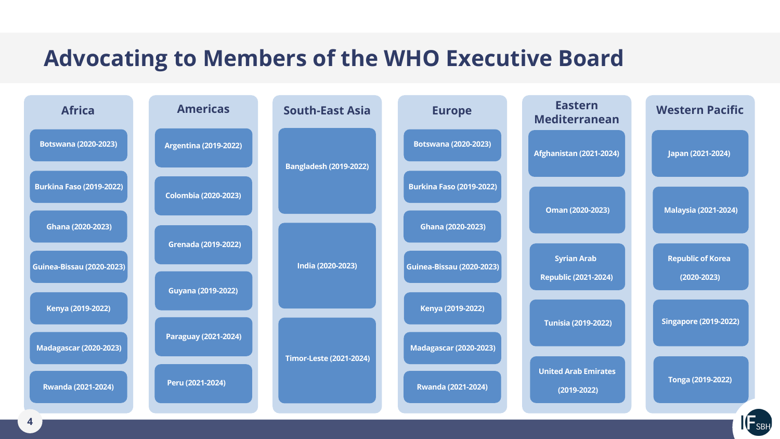## **Advocating to Members of the WHO Executive Board**

| <b>Africa</b>                    | <b>Americas</b>              | <b>South-East Asia</b>         | <b>Europe</b>                    |
|----------------------------------|------------------------------|--------------------------------|----------------------------------|
| <b>Botswana (2020-2023)</b>      | <b>Argentina (2019-2022)</b> | <b>Bangladesh (2019-2022)</b>  | <b>Botswana (2020-2023)</b>      |
| <b>Burkina Faso (2019-2022)</b>  | <b>Colombia (2020-2023)</b>  |                                | <b>Burkina Faso (2019-2022)</b>  |
| Ghana (2020-2023)                | <b>Grenada (2019-2022)</b>   | India (2020-2023)              | Ghana (2020-2023)                |
| <b>Guinea-Bissau (2020-2023)</b> |                              |                                | <b>Guinea-Bissau (2020-2023)</b> |
| Kenya (2019-2022)                | <b>Guyana (2019-2022)</b>    |                                | Kenya (2019-2022)                |
| <b>Madagascar (2020-2023)</b>    | <b>Paraguay (2021-2024)</b>  | <b>Timor-Leste (2021-2024)</b> | <b>Madagascar (2020-2023)</b>    |
| <b>Rwanda (2021-2024)</b>        | Peru (2021-2024)             |                                | <b>Rwanda (2021-2024)</b>        |

**(2019-2022)**



**Tonga (2019-2022)**

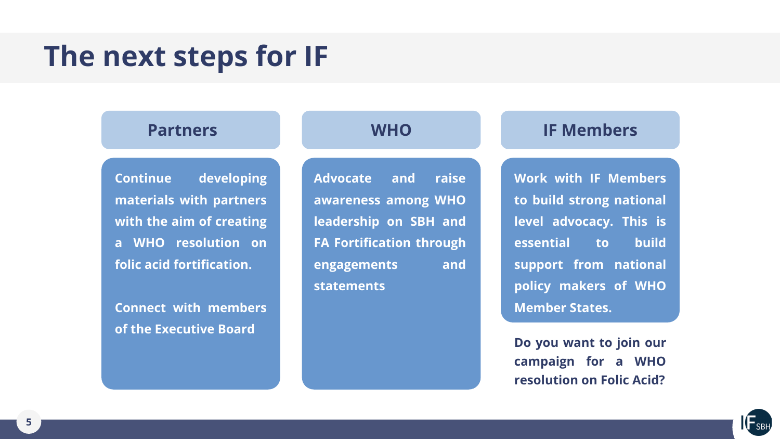# **The next steps for IF**

### **Partners WHO IF Members**

**Continue developing materials with partners with the aim of creating a WHO resolution on folic acid fortification.**

**Connect with members of the Executive Board**

**Advocate and raise awareness among WHO leadership on SBH and FA Fortification through engagements and statements**

**Work with IF Members to build strong national level advocacy. This is essential to build support from national policy makers of WHO Member States.**

**Do you want to join our campaign for a WHO resolution on Folic Acid?**

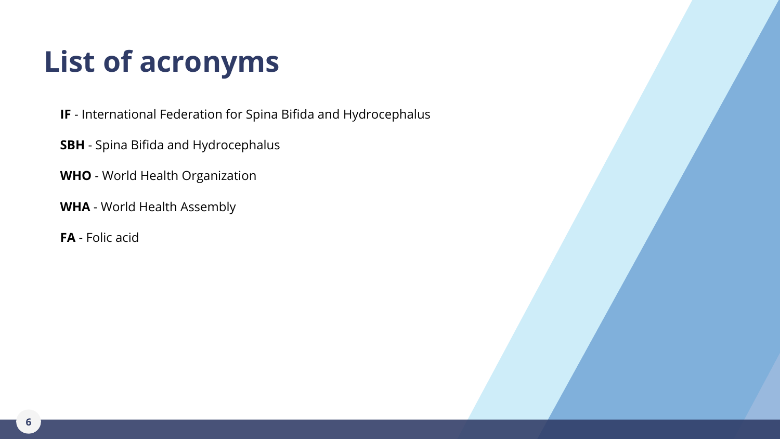- **IF** International Federation for Spina Bifida and Hydrocephalus
- **SBH** Spina Bifida and Hydrocephalus
- **WHO** World Health Organization
- **WHA** World Health Assembly
- **FA** Folic acid

# **List of acronyms**